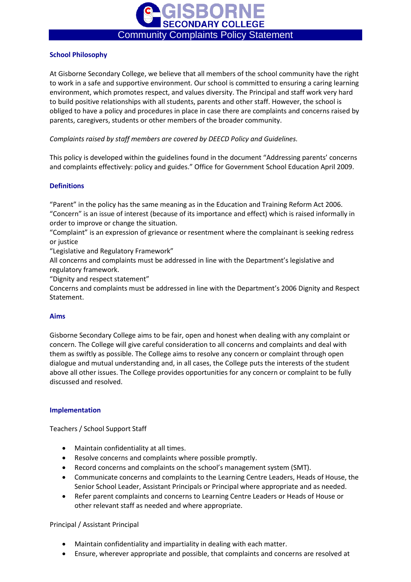

# **School Philosophy**

At Gisborne Secondary College, we believe that all members of the school community have the right to work in a safe and supportive environment. Our school is committed to ensuring a caring learning environment, which promotes respect, and values diversity. The Principal and staff work very hard to build positive relationships with all students, parents and other staff. However, the school is obliged to have a policy and procedures in place in case there are complaints and concerns raised by parents, caregivers, students or other members of the broader community.

*Complaints raised by staff members are covered by DEECD Policy and Guidelines.*

This policy is developed within the guidelines found in the document "Addressing parents' concerns and complaints effectively: policy and guides." Office for Government School Education April 2009.

# **Definitions**

"Parent" in the policy has the same meaning as in the Education and Training Reform Act 2006. "Concern" is an issue of interest (because of its importance and effect) which is raised informally in order to improve or change the situation.

"Complaint" is an expression of grievance or resentment where the complainant is seeking redress or justice

"Legislative and Regulatory Framework"

All concerns and complaints must be addressed in line with the Department's legislative and regulatory framework.

"Dignity and respect statement"

Concerns and complaints must be addressed in line with the Department's 2006 Dignity and Respect Statement.

# **Aims**

Gisborne Secondary College aims to be fair, open and honest when dealing with any complaint or concern. The College will give careful consideration to all concerns and complaints and deal with them as swiftly as possible. The College aims to resolve any concern or complaint through open dialogue and mutual understanding and, in all cases, the College puts the interests of the student above all other issues. The College provides opportunities for any concern or complaint to be fully discussed and resolved.

#### **Implementation**

Teachers / School Support Staff

- Maintain confidentiality at all times.
- Resolve concerns and complaints where possible promptly.
- Record concerns and complaints on the school's management system (SMT).
- Communicate concerns and complaints to the Learning Centre Leaders, Heads of House, the Senior School Leader, Assistant Principals or Principal where appropriate and as needed.
- Refer parent complaints and concerns to Learning Centre Leaders or Heads of House or other relevant staff as needed and where appropriate.

### Principal / Assistant Principal

- Maintain confidentiality and impartiality in dealing with each matter.
- Ensure, wherever appropriate and possible, that complaints and concerns are resolved at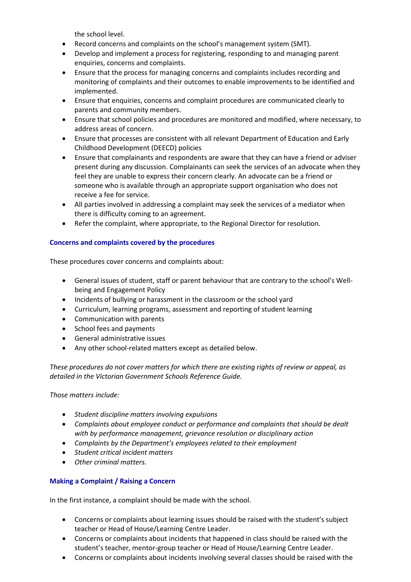the school level.

- Record concerns and complaints on the school's management system (SMT).
- Develop and implement a process for registering, responding to and managing parent enquiries, concerns and complaints.
- Ensure that the process for managing concerns and complaints includes recording and monitoring of complaints and their outcomes to enable improvements to be identified and implemented.
- Ensure that enquiries, concerns and complaint procedures are communicated clearly to parents and community members.
- Ensure that school policies and procedures are monitored and modified, where necessary, to address areas of concern.
- Ensure that processes are consistent with all relevant Department of Education and Early Childhood Development (DEECD) policies
- Ensure that complainants and respondents are aware that they can have a friend or adviser present during any discussion. Complainants can seek the services of an advocate when they feel they are unable to express their concern clearly. An advocate can be a friend or someone who is available through an appropriate support organisation who does not receive a fee for service.
- All parties involved in addressing a complaint may seek the services of a mediator when there is difficulty coming to an agreement.
- Refer the complaint, where appropriate, to the Regional Director for resolution.

# **Concerns and complaints covered by the procedures**

These procedures cover concerns and complaints about:

- General issues of student, staff or parent behaviour that are contrary to the school's Wellbeing and Engagement Policy
- Incidents of bullying or harassment in the classroom or the school yard
- Curriculum, learning programs, assessment and reporting of student learning
- Communication with parents
- School fees and payments
- General administrative issues
- Any other school-related matters except as detailed below.

*These procedures do not cover matters for which there are existing rights of review or appeal, as detailed in the Victorian Government Schools Reference Guide.*

*Those matters include:*

- *Student discipline matters involving expulsions*
- *Complaints about employee conduct or performance and complaints that should be dealt with by performance management, grievance resolution or disciplinary action*
- *Complaints by the Department's employees related to their employment*
- *Student critical incident matters*
- *Other criminal matters.*

#### **Making a Complaint / Raising a Concern**

In the first instance, a complaint should be made with the school.

- Concerns or complaints about learning issues should be raised with the student's subject teacher or Head of House/Learning Centre Leader.
- Concerns or complaints about incidents that happened in class should be raised with the student's teacher, mentor-group teacher or Head of House/Learning Centre Leader.
- Concerns or complaints about incidents involving several classes should be raised with the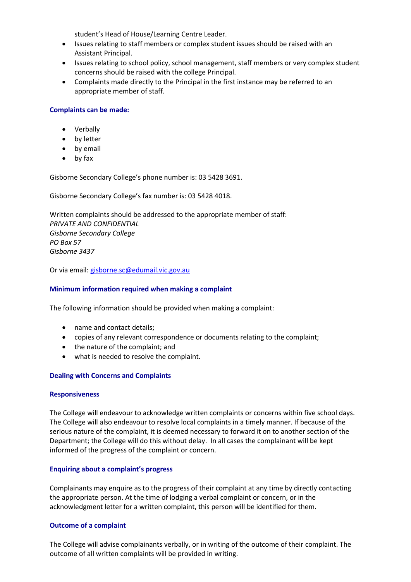student's Head of House/Learning Centre Leader.

- Issues relating to staff members or complex student issues should be raised with an Assistant Principal.
- Issues relating to school policy, school management, staff members or very complex student concerns should be raised with the college Principal.
- Complaints made directly to the Principal in the first instance may be referred to an appropriate member of staff.

### **Complaints can be made:**

- Verbally
- by letter
- by email
- by fax

Gisborne Secondary College's phone number is: 03 5428 3691.

Gisborne Secondary College's fax number is: 03 5428 4018.

Written complaints should be addressed to the appropriate member of staff: *PRIVATE AND CONFIDENTIAL Gisborne Secondary College PO Box 57 Gisborne 3437*

Or via email: [gisborne.sc@edumail.vic.gov.au](mailto:gisborne.sc@edumail.vic.gov.au)

#### **Minimum information required when making a complaint**

The following information should be provided when making a complaint:

- name and contact details;
- copies of any relevant correspondence or documents relating to the complaint;
- the nature of the complaint; and
- what is needed to resolve the complaint.

#### **Dealing with Concerns and Complaints**

#### **Responsiveness**

The College will endeavour to acknowledge written complaints or concerns within five school days. The College will also endeavour to resolve local complaints in a timely manner. If because of the serious nature of the complaint, it is deemed necessary to forward it on to another section of the Department; the College will do this without delay. In all cases the complainant will be kept informed of the progress of the complaint or concern.

#### **Enquiring about a complaint's progress**

Complainants may enquire as to the progress of their complaint at any time by directly contacting the appropriate person. At the time of lodging a verbal complaint or concern, or in the acknowledgment letter for a written complaint, this person will be identified for them.

#### **Outcome of a complaint**

The College will advise complainants verbally, or in writing of the outcome of their complaint. The outcome of all written complaints will be provided in writing.